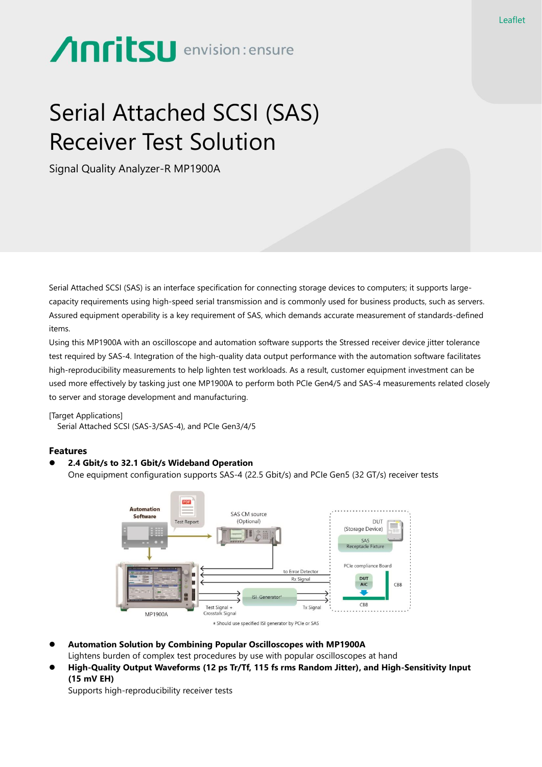# **Anritsu** envision: ensure

## Serial Attached SCSI (SAS) Receiver Test Solution

Signal Quality Analyzer-R MP1900A

Serial Attached SCSI (SAS) is an interface specification for connecting storage devices to computers; it supports largecapacity requirements using high-speed serial transmission and is commonly used for business products, such as servers. Assured equipment operability is a key requirement of SAS, which demands accurate measurement of standards-defined items.

Using this MP1900A with an oscilloscope and automation software supports the Stressed receiver device jitter tolerance test required by SAS-4. Integration of the high-quality data output performance with the automation software facilitates high-reproducibility measurements to help lighten test workloads. As a result, customer equipment investment can be used more effectively by tasking just one MP1900A to perform both PCIe Gen4/5 and SAS-4 measurements related closely to server and storage development and manufacturing.

[Target Applications]

Serial Attached SCSI (SAS-3/SAS-4), and PCIe Gen3/4/5

### **Features**

#### ⚫ **2.4 Gbit/s to 32.1 Gbit/s Wideband Operation**

One equipment configuration supports SAS-4 (22.5 Gbit/s) and PCIe Gen5 (32 GT/s) receiver tests



- ⚫ **Automation Solution by Combining Popular Oscilloscopes with MP1900A** Lightens burden of complex test procedures by use with popular oscilloscopes at hand
- ⚫ **High-Quality Output Waveforms (12 ps Tr/Tf, 115 fs rms Random Jitter), and High-Sensitivity Input (15 mV EH)**

Supports high-reproducibility receiver tests